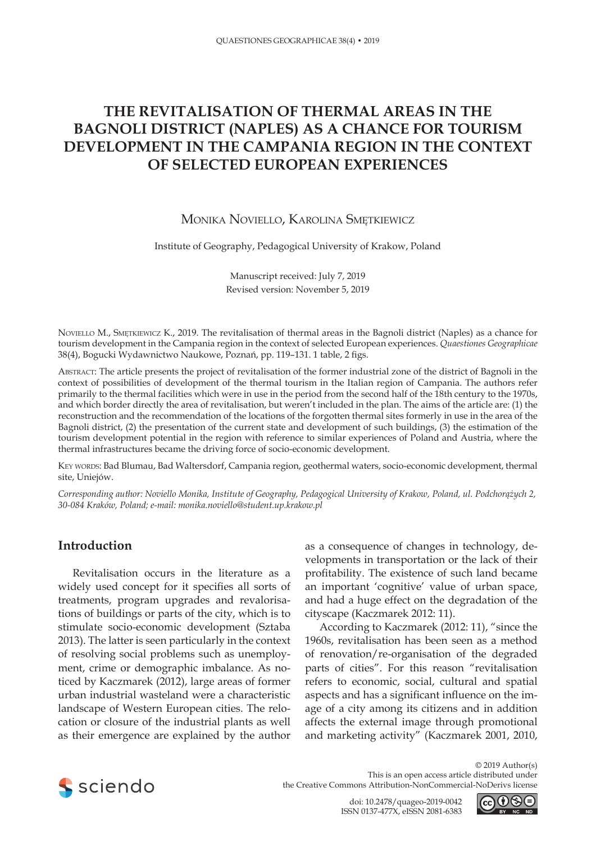# **THE REVITALISATION OF THERMAL AREAS IN THE BAGNOLI DISTRICT (NAPLES) AS A CHANCE FOR TOURISM DEVELOPMENT IN THE CAMPANIA REGION IN THE CONTEXT OF SELECTED EUROPEAN EXPERIENCES**

# Monika Noviello, Karolina Smętkiewicz

Institute of Geography, Pedagogical University of Krakow, Poland

Manuscript received: July 7, 2019 Revised version: November 5, 2019

Noviello M., Smętkiewicz K., 2019. The revitalisation of thermal areas in the Bagnoli district (Naples) as a chance for tourism development in the Campania region in the context of selected European experiences. *Quaestiones Geographicae* 38(4), Bogucki Wydawnictwo Naukowe, Poznań, pp. 119–131. 1 table, 2 figs.

Abstract: The article presents the project of revitalisation of the former industrial zone of the district of Bagnoli in the context of possibilities of development of the thermal tourism in the Italian region of Campania. The authors refer primarily to the thermal facilities which were in use in the period from the second half of the 18th century to the 1970s, and which border directly the area of revitalisation, but weren't included in the plan. The aims of the article are: (1) the reconstruction and the recommendation of the locations of the forgotten thermal sites formerly in use in the area of the Bagnoli district, (2) the presentation of the current state and development of such buildings, (3) the estimation of the tourism development potential in the region with reference to similar experiences of Poland and Austria, where the thermal infrastructures became the driving force of socio-economic development.

KEY WORDS: Bad Blumau, Bad Waltersdorf, Campania region, geothermal waters, socio-economic development, thermal site, Uniejów.

*Corresponding author: Noviello Monika, Institute of Geography, Pedagogical University of Krakow, Poland, ul. Podchorążych 2, 30-084 Kraków, Poland; e-mail: monika.noviello@student.up.krakow.pl*

# **Introduction**

Revitalisation occurs in the literature as a widely used concept for it specifies all sorts of treatments, program upgrades and revalorisations of buildings or parts of the city, which is to stimulate socio-economic development (Sztaba 2013). The latter is seen particularly in the context of resolving social problems such as unemployment, crime or demographic imbalance. As noticed by Kaczmarek (2012), large areas of former urban industrial wasteland were a characteristic landscape of Western European cities. The relocation or closure of the industrial plants as well as their emergence are explained by the author

as a consequence of changes in technology, developments in transportation or the lack of their profitability. The existence of such land became an important 'cognitive' value of urban space, and had a huge effect on the degradation of the cityscape (Kaczmarek 2012: 11).

According to Kaczmarek (2012: 11), "since the 1960s, revitalisation has been seen as a method of renovation/re-organisation of the degraded parts of cities". For this reason "revitalisation refers to economic, social, cultural and spatial aspects and has a significant influence on the image of a city among its citizens and in addition affects the external image through promotional and marketing activity" (Kaczmarek 2001, 2010,



© 2019 Author(s) This is an open access article distributed under the Creative Commons Attribution-NonCommercial-NoDerivs license

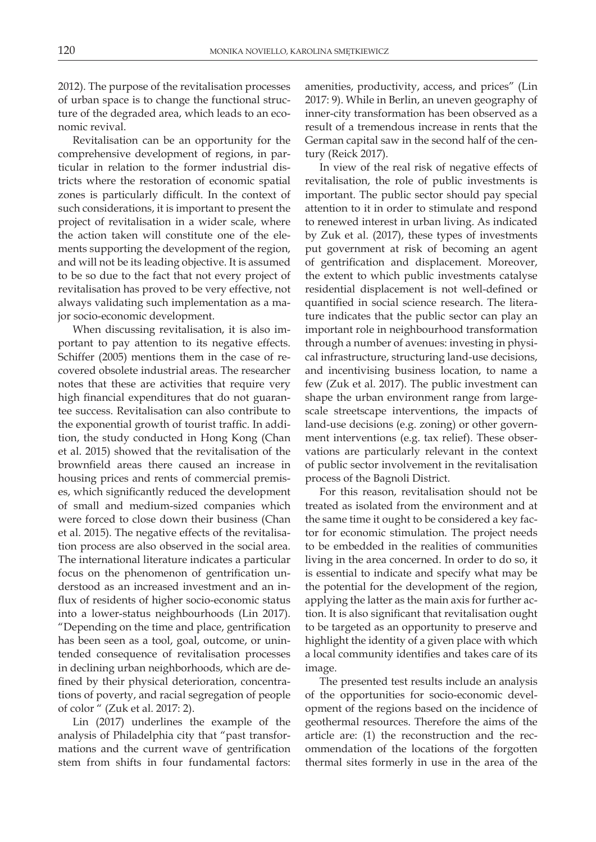2012). The purpose of the revitalisation processes of urban space is to change the functional structure of the degraded area, which leads to an economic revival.

Revitalisation can be an opportunity for the comprehensive development of regions, in particular in relation to the former industrial districts where the restoration of economic spatial zones is particularly difficult. In the context of such considerations, it is important to present the project of revitalisation in a wider scale, where the action taken will constitute one of the elements supporting the development of the region, and will not be its leading objective. It is assumed to be so due to the fact that not every project of revitalisation has proved to be very effective, not always validating such implementation as a major socio-economic development.

When discussing revitalisation, it is also important to pay attention to its negative effects. Schiffer (2005) mentions them in the case of recovered obsolete industrial areas. The researcher notes that these are activities that require very high financial expenditures that do not guarantee success. Revitalisation can also contribute to the exponential growth of tourist traffic. In addition, the study conducted in Hong Kong (Chan et al. 2015) showed that the revitalisation of the brownfield areas there caused an increase in housing prices and rents of commercial premises, which significantly reduced the development of small and medium-sized companies which were forced to close down their business (Chan et al. 2015). The negative effects of the revitalisation process are also observed in the social area. The international literature indicates a particular focus on the phenomenon of gentrification understood as an increased investment and an influx of residents of higher socio-economic status into a lower-status neighbourhoods (Lin 2017). "Depending on the time and place, gentrification has been seen as a tool, goal, outcome, or unintended consequence of revitalisation processes in declining urban neighborhoods, which are defined by their physical deterioration, concentrations of poverty, and racial segregation of people of color " (Zuk et al. 2017: 2).

Lin (2017) underlines the example of the analysis of Philadelphia city that "past transformations and the current wave of gentrification stem from shifts in four fundamental factors:

amenities, productivity, access, and prices" (Lin 2017: 9). While in Berlin, an uneven geography of inner-city transformation has been observed as a result of a tremendous increase in rents that the German capital saw in the second half of the century (Reick 2017).

In view of the real risk of negative effects of revitalisation, the role of public investments is important. The public sector should pay special attention to it in order to stimulate and respond to renewed interest in urban living. As indicated by Zuk et al. (2017), these types of investments put government at risk of becoming an agent of gentrification and displacement. Moreover, the extent to which public investments catalyse residential displacement is not well-defined or quantified in social science research. The literature indicates that the public sector can play an important role in neighbourhood transformation through a number of avenues: investing in physical infrastructure, structuring land-use decisions, and incentivising business location, to name a few (Zuk et al. 2017). The public investment can shape the urban environment range from largescale streetscape interventions, the impacts of land-use decisions (e.g. zoning) or other government interventions (e.g. tax relief). These observations are particularly relevant in the context of public sector involvement in the revitalisation process of the Bagnoli District.

For this reason, revitalisation should not be treated as isolated from the environment and at the same time it ought to be considered a key factor for economic stimulation. The project needs to be embedded in the realities of communities living in the area concerned. In order to do so, it is essential to indicate and specify what may be the potential for the development of the region, applying the latter as the main axis for further action. It is also significant that revitalisation ought to be targeted as an opportunity to preserve and highlight the identity of a given place with which a local community identifies and takes care of its image.

The presented test results include an analysis of the opportunities for socio-economic development of the regions based on the incidence of geothermal resources. Therefore the aims of the article are: (1) the reconstruction and the recommendation of the locations of the forgotten thermal sites formerly in use in the area of the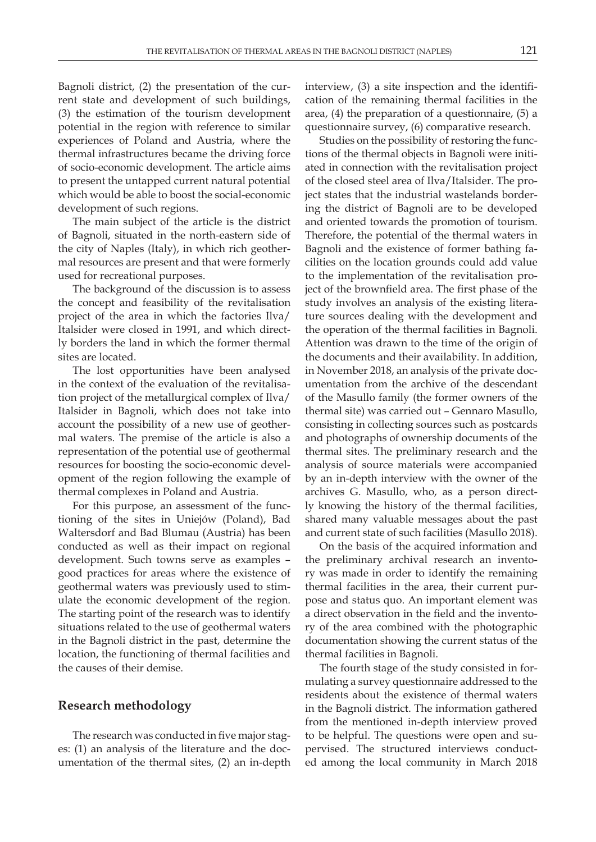Bagnoli district, (2) the presentation of the current state and development of such buildings, (3) the estimation of the tourism development potential in the region with reference to similar experiences of Poland and Austria, where the thermal infrastructures became the driving force of socio-economic development. The article aims to present the untapped current natural potential which would be able to boost the social-economic development of such regions.

The main subject of the article is the district of Bagnoli, situated in the north-eastern side of the city of Naples (Italy), in which rich geothermal resources are present and that were formerly used for recreational purposes.

The background of the discussion is to assess the concept and feasibility of the revitalisation project of the area in which the factories Ilva/ Italsider were closed in 1991, and which directly borders the land in which the former thermal sites are located.

The lost opportunities have been analysed in the context of the evaluation of the revitalisation project of the metallurgical complex of Ilva/ Italsider in Bagnoli, which does not take into account the possibility of a new use of geothermal waters. The premise of the article is also a representation of the potential use of geothermal resources for boosting the socio-economic development of the region following the example of thermal complexes in Poland and Austria.

For this purpose, an assessment of the functioning of the sites in Uniejów (Poland), Bad Waltersdorf and Bad Blumau (Austria) has been conducted as well as their impact on regional development. Such towns serve as examples – good practices for areas where the existence of geothermal waters was previously used to stimulate the economic development of the region. The starting point of the research was to identify situations related to the use of geothermal waters in the Bagnoli district in the past, determine the location, the functioning of thermal facilities and the causes of their demise.

#### **Research methodology**

The research was conducted in five major stages: (1) an analysis of the literature and the documentation of the thermal sites, (2) an in-depth interview, (3) a site inspection and the identification of the remaining thermal facilities in the area, (4) the preparation of a questionnaire, (5) a questionnaire survey, (6) comparative research.

Studies on the possibility of restoring the functions of the thermal objects in Bagnoli were initiated in connection with the revitalisation project of the closed steel area of Ilva/Italsider. The project states that the industrial wastelands bordering the district of Bagnoli are to be developed and oriented towards the promotion of tourism. Therefore, the potential of the thermal waters in Bagnoli and the existence of former bathing facilities on the location grounds could add value to the implementation of the revitalisation project of the brownfield area. The first phase of the study involves an analysis of the existing literature sources dealing with the development and the operation of the thermal facilities in Bagnoli. Attention was drawn to the time of the origin of the documents and their availability. In addition, in November 2018, an analysis of the private documentation from the archive of the descendant of the Masullo family (the former owners of the thermal site) was carried out – Gennaro Masullo, consisting in collecting sources such as postcards and photographs of ownership documents of the thermal sites. The preliminary research and the analysis of source materials were accompanied by an in-depth interview with the owner of the archives G. Masullo, who, as a person directly knowing the history of the thermal facilities, shared many valuable messages about the past and current state of such facilities (Masullo 2018).

On the basis of the acquired information and the preliminary archival research an inventory was made in order to identify the remaining thermal facilities in the area, their current purpose and status quo. An important element was a direct observation in the field and the inventory of the area combined with the photographic documentation showing the current status of the thermal facilities in Bagnoli.

The fourth stage of the study consisted in formulating a survey questionnaire addressed to the residents about the existence of thermal waters in the Bagnoli district. The information gathered from the mentioned in-depth interview proved to be helpful. The questions were open and supervised. The structured interviews conducted among the local community in March 2018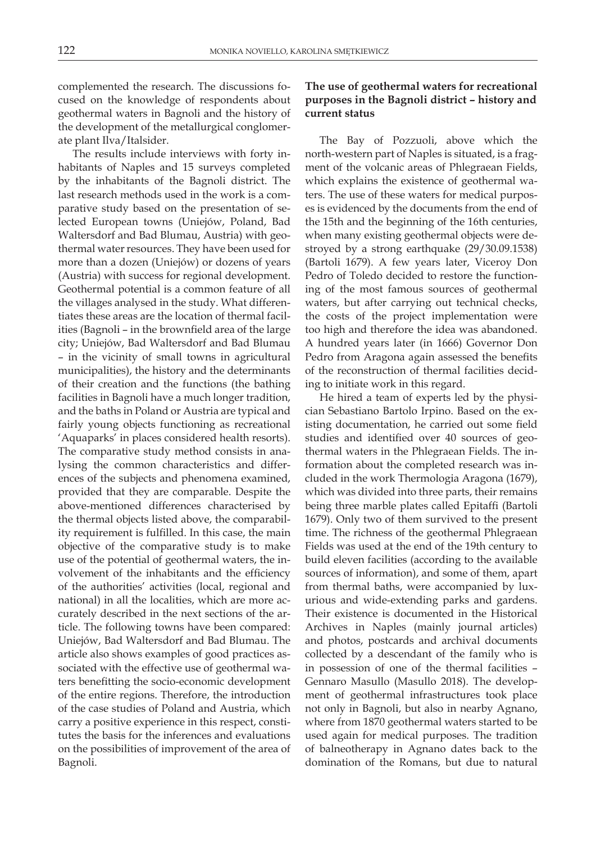complemented the research. The discussions focused on the knowledge of respondents about geothermal waters in Bagnoli and the history of the development of the metallurgical conglomerate plant Ilva/Italsider.

The results include interviews with forty inhabitants of Naples and 15 surveys completed by the inhabitants of the Bagnoli district. The last research methods used in the work is a comparative study based on the presentation of selected European towns (Uniejów, Poland, Bad Waltersdorf and Bad Blumau, Austria) with geothermal water resources. They have been used for more than a dozen (Uniejów) or dozens of years (Austria) with success for regional development. Geothermal potential is a common feature of all the villages analysed in the study. What differentiates these areas are the location of thermal facilities (Bagnoli – in the brownfield area of the large city; Uniejów, Bad Waltersdorf and Bad Blumau – in the vicinity of small towns in agricultural municipalities), the history and the determinants of their creation and the functions (the bathing facilities in Bagnoli have a much longer tradition, and the baths in Poland or Austria are typical and fairly young objects functioning as recreational 'Aquaparks' in places considered health resorts). The comparative study method consists in analysing the common characteristics and differences of the subjects and phenomena examined, provided that they are comparable. Despite the above-mentioned differences characterised by the thermal objects listed above, the comparability requirement is fulfilled. In this case, the main objective of the comparative study is to make use of the potential of geothermal waters, the involvement of the inhabitants and the efficiency of the authorities' activities (local, regional and national) in all the localities, which are more accurately described in the next sections of the article. The following towns have been compared: Uniejów, Bad Waltersdorf and Bad Blumau. The article also shows examples of good practices associated with the effective use of geothermal waters benefitting the socio-economic development of the entire regions. Therefore, the introduction of the case studies of Poland and Austria, which carry a positive experience in this respect, constitutes the basis for the inferences and evaluations on the possibilities of improvement of the area of Bagnoli.

### **The use of geothermal waters for recreational purposes in the Bagnoli district – history and current status**

The Bay of Pozzuoli, above which the north-western part of Naples is situated, is a fragment of the volcanic areas of Phlegraean Fields, which explains the existence of geothermal waters. The use of these waters for medical purposes is evidenced by the documents from the end of the 15th and the beginning of the 16th centuries, when many existing geothermal objects were destroyed by a strong earthquake (29/30.09.1538) (Bartoli 1679). A few years later, Viceroy Don Pedro of Toledo decided to restore the functioning of the most famous sources of geothermal waters, but after carrying out technical checks, the costs of the project implementation were too high and therefore the idea was abandoned. A hundred years later (in 1666) Governor Don Pedro from Aragona again assessed the benefits of the reconstruction of thermal facilities deciding to initiate work in this regard.

He hired a team of experts led by the physician Sebastiano Bartolo Irpino. Based on the existing documentation, he carried out some field studies and identified over 40 sources of geothermal waters in the Phlegraean Fields. The information about the completed research was included in the work Thermologia Aragona (1679), which was divided into three parts, their remains being three marble plates called Epitaffi (Bartoli 1679). Only two of them survived to the present time. The richness of the geothermal Phlegraean Fields was used at the end of the 19th century to build eleven facilities (according to the available sources of information), and some of them, apart from thermal baths, were accompanied by luxurious and wide-extending parks and gardens. Their existence is documented in the Historical Archives in Naples (mainly journal articles) and photos, postcards and archival documents collected by a descendant of the family who is in possession of one of the thermal facilities – Gennaro Masullo (Masullo 2018). The development of geothermal infrastructures took place not only in Bagnoli, but also in nearby Agnano, where from 1870 geothermal waters started to be used again for medical purposes. The tradition of balneotherapy in Agnano dates back to the domination of the Romans, but due to natural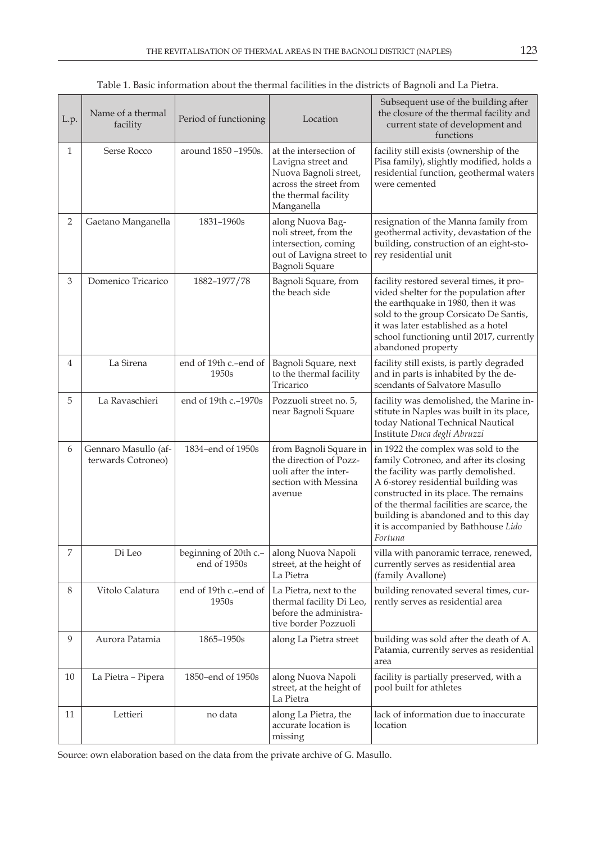| L.p. | Name of a thermal<br>facility              | Period of functioning                                      | Location                                                                                                                              | Subsequent use of the building after<br>the closure of the thermal facility and<br>current state of development and<br>functions                                                                                                                                                                                                             |
|------|--------------------------------------------|------------------------------------------------------------|---------------------------------------------------------------------------------------------------------------------------------------|----------------------------------------------------------------------------------------------------------------------------------------------------------------------------------------------------------------------------------------------------------------------------------------------------------------------------------------------|
| 1    | Serse Rocco                                | around 1850 -1950s.                                        | at the intersection of<br>Lavigna street and<br>Nuova Bagnoli street,<br>across the street from<br>the thermal facility<br>Manganella | facility still exists (ownership of the<br>Pisa family), slightly modified, holds a<br>residential function, geothermal waters<br>were cemented                                                                                                                                                                                              |
| 2    | Gaetano Manganella                         | 1831-1960s                                                 | along Nuova Bag-<br>noli street, from the<br>intersection, coming<br>out of Lavigna street to<br>Bagnoli Square                       | resignation of the Manna family from<br>geothermal activity, devastation of the<br>building, construction of an eight-sto-<br>rey residential unit                                                                                                                                                                                           |
| 3    | Domenico Tricarico                         | 1882-1977/78                                               | Bagnoli Square, from<br>the beach side                                                                                                | facility restored several times, it pro-<br>vided shelter for the population after<br>the earthquake in 1980, then it was<br>sold to the group Corsicato De Santis,<br>it was later established as a hotel<br>school functioning until 2017, currently<br>abandoned property                                                                 |
| 4    | La Sirena                                  | end of 19th c.-end of<br>1950s                             | Bagnoli Square, next<br>to the thermal facility<br>Tricarico                                                                          | facility still exists, is partly degraded<br>and in parts is inhabited by the de-<br>scendants of Salvatore Masullo                                                                                                                                                                                                                          |
| 5    | La Ravaschieri                             | end of 19th c.-1970s                                       | Pozzuoli street no. 5,<br>near Bagnoli Square                                                                                         | facility was demolished, the Marine in-<br>stitute in Naples was built in its place,<br>today National Technical Nautical<br>Institute Duca degli Abruzzi                                                                                                                                                                                    |
| 6    | Gennaro Masullo (af-<br>terwards Cotroneo) | 1834-end of 1950s                                          | from Bagnoli Square in<br>the direction of Pozz-<br>uoli after the inter-<br>section with Messina<br>avenue                           | in 1922 the complex was sold to the<br>family Cotroneo, and after its closing<br>the facility was partly demolished.<br>A 6-storey residential building was<br>constructed in its place. The remains<br>of the thermal facilities are scarce, the<br>building is abandoned and to this day<br>it is accompanied by Bathhouse Lido<br>Fortuna |
| 7    | Di Leo                                     | beginning of 20th c.-   along Nuova Napoli<br>end of 1950s | street, at the height of<br>La Pietra                                                                                                 | villa with panoramic terrace, renewed,<br>currently serves as residential area<br>(family Avallone)                                                                                                                                                                                                                                          |
| 8    | Vitolo Calatura                            | end of 19th c.-end of<br>1950s                             | La Pietra, next to the<br>thermal facility Di Leo,<br>before the administra-<br>tive border Pozzuoli                                  | building renovated several times, cur-<br>rently serves as residential area                                                                                                                                                                                                                                                                  |
| 9    | Aurora Patamia                             | 1865-1950s                                                 | along La Pietra street                                                                                                                | building was sold after the death of A.<br>Patamia, currently serves as residential<br>area                                                                                                                                                                                                                                                  |
| 10   | La Pietra - Pipera                         | 1850-end of 1950s                                          | along Nuova Napoli<br>street, at the height of<br>La Pietra                                                                           | facility is partially preserved, with a<br>pool built for athletes                                                                                                                                                                                                                                                                           |
| 11   | Lettieri                                   | no data                                                    | along La Pietra, the<br>accurate location is<br>missing                                                                               | lack of information due to inaccurate<br>location                                                                                                                                                                                                                                                                                            |

Table 1. Basic information about the thermal facilities in the districts of Bagnoli and La Pietra.

Source: own elaboration based on the data from the private archive of G. Masullo.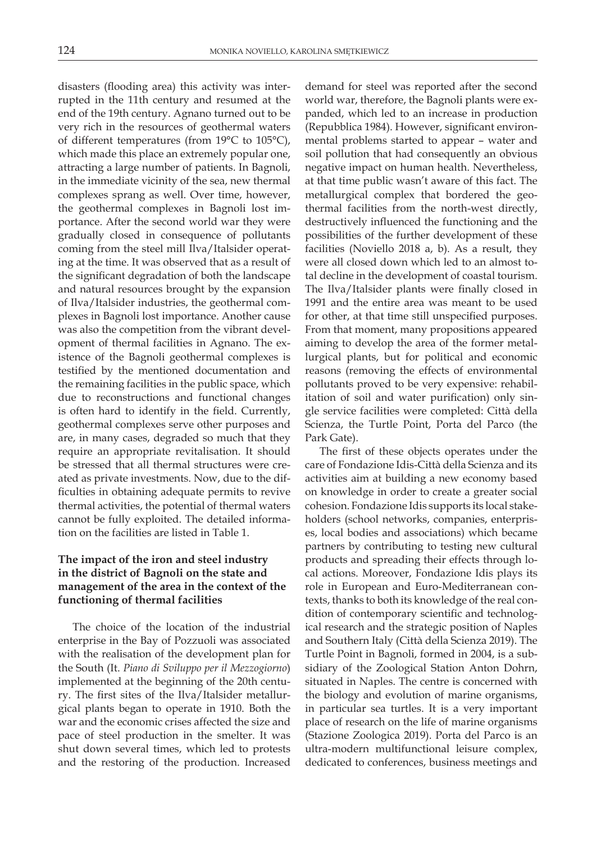disasters (flooding area) this activity was interrupted in the 11th century and resumed at the end of the 19th century. Agnano turned out to be very rich in the resources of geothermal waters of different temperatures (from 19°C to 105°C), which made this place an extremely popular one, attracting a large number of patients. In Bagnoli, in the immediate vicinity of the sea, new thermal complexes sprang as well. Over time, however, the geothermal complexes in Bagnoli lost importance. After the second world war they were gradually closed in consequence of pollutants coming from the steel mill Ilva/Italsider operating at the time. It was observed that as a result of the significant degradation of both the landscape and natural resources brought by the expansion of Ilva/Italsider industries, the geothermal complexes in Bagnoli lost importance. Another cause was also the competition from the vibrant development of thermal facilities in Agnano. The existence of the Bagnoli geothermal complexes is testified by the mentioned documentation and the remaining facilities in the public space, which due to reconstructions and functional changes is often hard to identify in the field. Currently, geothermal complexes serve other purposes and are, in many cases, degraded so much that they require an appropriate revitalisation. It should be stressed that all thermal structures were created as private investments. Now, due to the difficulties in obtaining adequate permits to revive thermal activities, the potential of thermal waters cannot be fully exploited. The detailed information on the facilities are listed in Table 1.

### **The impact of the iron and steel industry in the district of Bagnoli on the state and management of the area in the context of the functioning of thermal facilities**

The choice of the location of the industrial enterprise in the Bay of Pozzuoli was associated with the realisation of the development plan for the South (It. *Piano di Sviluppo per il Mezzogiorno*) implemented at the beginning of the 20th century. The first sites of the Ilva/Italsider metallurgical plants began to operate in 1910. Both the war and the economic crises affected the size and pace of steel production in the smelter. It was shut down several times, which led to protests and the restoring of the production. Increased

demand for steel was reported after the second world war, therefore, the Bagnoli plants were expanded, which led to an increase in production (Repubblica 1984). However, significant environmental problems started to appear – water and soil pollution that had consequently an obvious negative impact on human health. Nevertheless, at that time public wasn't aware of this fact. The metallurgical complex that bordered the geothermal facilities from the north-west directly, destructively influenced the functioning and the possibilities of the further development of these facilities (Noviello 2018 a, b). As a result, they were all closed down which led to an almost total decline in the development of coastal tourism. The Ilva/Italsider plants were finally closed in 1991 and the entire area was meant to be used for other, at that time still unspecified purposes. From that moment, many propositions appeared aiming to develop the area of the former metallurgical plants, but for political and economic reasons (removing the effects of environmental pollutants proved to be very expensive: rehabilitation of soil and water purification) only single service facilities were completed: Città della Scienza, the Turtle Point, Porta del Parco (the Park Gate).

The first of these objects operates under the care of Fondazione Idis-Città della Scienza and its activities aim at building a new economy based on knowledge in order to create a greater social cohesion. Fondazione Idis supports its local stakeholders (school networks, companies, enterprises, local bodies and associations) which became partners by contributing to testing new cultural products and spreading their effects through local actions. Moreover, Fondazione Idis plays its role in European and Euro-Mediterranean contexts, thanks to both its knowledge of the real condition of contemporary scientific and technological research and the strategic position of Naples and Southern Italy (Città della Scienza 2019). The Turtle Point in Bagnoli, formed in 2004, is a subsidiary of the Zoological Station Anton Dohrn, situated in Naples. The centre is concerned with the biology and evolution of marine organisms, in particular sea turtles. It is a very important place of research on the life of marine organisms (Stazione Zoologica 2019). Porta del Parco is an ultra-modern multifunctional leisure complex, dedicated to conferences, business meetings and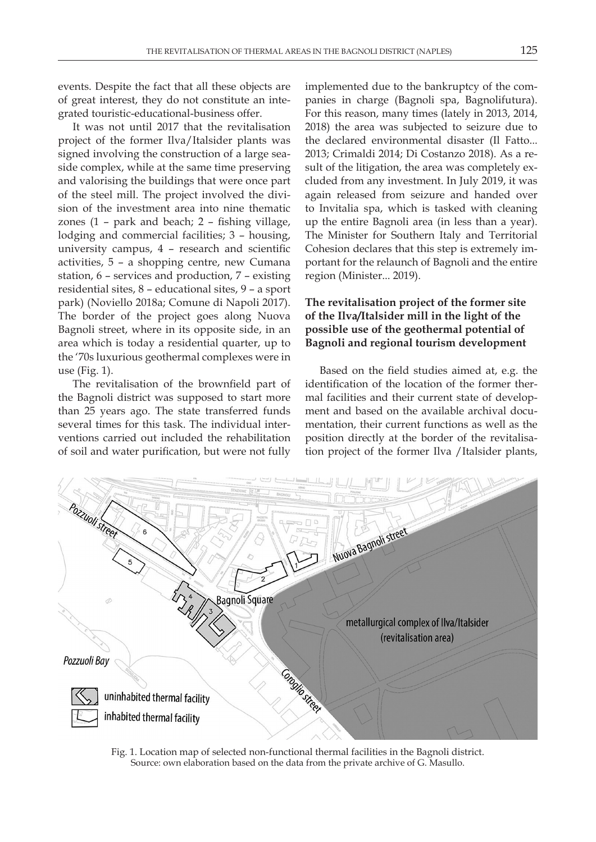events. Despite the fact that all these objects are of great interest, they do not constitute an integrated touristic-educational-business offer.

It was not until 2017 that the revitalisation project of the former Ilva/Italsider plants was signed involving the construction of a large seaside complex, while at the same time preserving and valorising the buildings that were once part of the steel mill. The project involved the division of the investment area into nine thematic zones (1 – park and beach; 2 – fishing village, lodging and commercial facilities; 3 – housing, university campus, 4 – research and scientific activities, 5 – a shopping centre, new Cumana station, 6 – services and production, 7 – existing residential sites, 8 – educational sites, 9 – a sport park) (Noviello 2018a; Comune di Napoli 2017). The border of the project goes along Nuova Bagnoli street, where in its opposite side, in an area which is today a residential quarter, up to the '70s luxurious geothermal complexes were in use (Fig. 1).

The revitalisation of the brownfield part of the Bagnoli district was supposed to start more than 25 years ago. The state transferred funds several times for this task. The individual interventions carried out included the rehabilitation of soil and water purification, but were not fully

implemented due to the bankruptcy of the companies in charge (Bagnoli spa, Bagnolifutura). For this reason, many times (lately in 2013, 2014, 2018) the area was subjected to seizure due to the declared environmental disaster (Il Fatto... 2013; Crimaldi 2014; Di Costanzo 2018). As a result of the litigation, the area was completely excluded from any investment. In July 2019, it was again released from seizure and handed over to Invitalia spa, which is tasked with cleaning up the entire Bagnoli area (in less than a year). The Minister for Southern Italy and Territorial Cohesion declares that this step is extremely important for the relaunch of Bagnoli and the entire region (Minister... 2019).

## **The revitalisation project of the former site of the Ilva/Italsider mill in the light of the possible use of the geothermal potential of Bagnoli and regional tourism development**

Based on the field studies aimed at, e.g. the identification of the location of the former thermal facilities and their current state of development and based on the available archival documentation, their current functions as well as the position directly at the border of the revitalisation project of the former Ilva /Italsider plants,



Fig. 1. Location map of selected non-functional thermal facilities in the Bagnoli district. Source: own elaboration based on the data from the private archive of G. Masullo.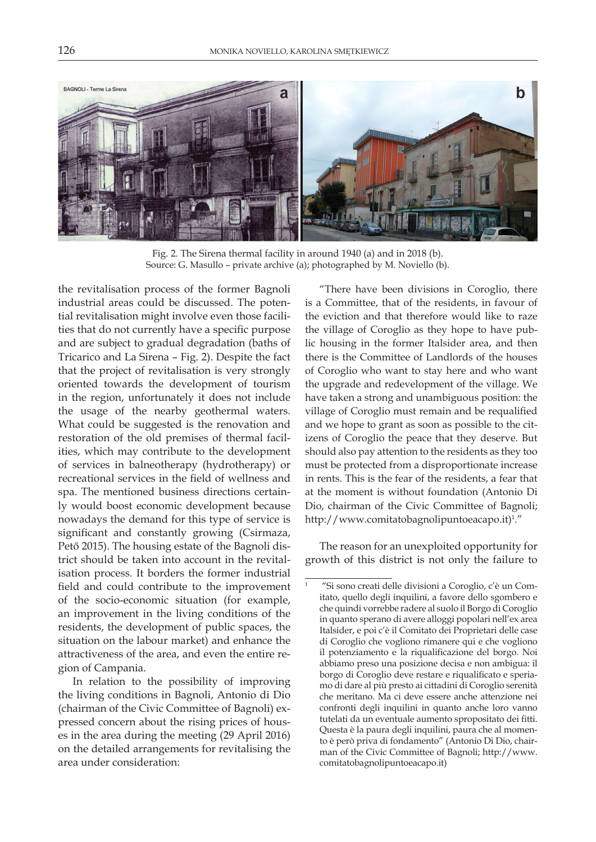

Fig. 2. The Sirena thermal facility in around 1940 (a) and in 2018 (b). Source: G. Masullo – private archive (a); photographed by M. Noviello (b).

the revitalisation process of the former Bagnoli industrial areas could be discussed. The potential revitalisation might involve even those facilities that do not currently have a specific purpose and are subject to gradual degradation (baths of Tricarico and La Sirena – Fig. 2). Despite the fact that the project of revitalisation is very strongly oriented towards the development of tourism in the region, unfortunately it does not include the usage of the nearby geothermal waters. What could be suggested is the renovation and restoration of the old premises of thermal facilities, which may contribute to the development of services in balneotherapy (hydrotherapy) or recreational services in the field of wellness and spa. The mentioned business directions certainly would boost economic development because nowadays the demand for this type of service is significant and constantly growing (Csirmaza, Pető 2015). The housing estate of the Bagnoli district should be taken into account in the revitalisation process. It borders the former industrial field and could contribute to the improvement of the socio-economic situation (for example, an improvement in the living conditions of the residents, the development of public spaces, the situation on the labour market) and enhance the attractiveness of the area, and even the entire region of Campania.

In relation to the possibility of improving the living conditions in Bagnoli, Antonio di Dio (chairman of the Civic Committee of Bagnoli) expressed concern about the rising prices of houses in the area during the meeting (29 April 2016) on the detailed arrangements for revitalising the area under consideration:

"There have been divisions in Coroglio, there is a Committee, that of the residents, in favour of the eviction and that therefore would like to raze the village of Coroglio as they hope to have public housing in the former Italsider area, and then there is the Committee of Landlords of the houses of Coroglio who want to stay here and who want the upgrade and redevelopment of the village. We have taken a strong and unambiguous position: the village of Coroglio must remain and be requalified and we hope to grant as soon as possible to the citizens of Coroglio the peace that they deserve. But should also pay attention to the residents as they too must be protected from a disproportionate increase in rents. This is the fear of the residents, a fear that at the moment is without foundation (Antonio Di Dio, chairman of the Civic Committee of Bagnoli; http://www.comitatobagnolipuntoeacapo.it)<sup>1</sup>."

The reason for an unexploited opportunity for growth of this district is not only the failure to

<sup>1 &</sup>quot;Si sono creati delle divisioni a Coroglio, c'è un Comitato, quello degli inquilini, a favore dello sgombero e che quindi vorrebbe radere al suolo il Borgo di Coroglio in quanto sperano di avere alloggi popolari nell'ex area Italsider, e poi c'è il Comitato dei Proprietari delle case di Coroglio che vogliono rimanere qui e che vogliono il potenziamento e la riqualificazione del borgo. Noi abbiamo preso una posizione decisa e non ambigua: il borgo di Coroglio deve restare e riqualificato e speriamo di dare al più presto ai cittadini di Coroglio serenità che meritano. Ma ci deve essere anche attenzione nei confronti degli inquilini in quanto anche loro vanno tutelati da un eventuale aumento spropositato dei fitti. Questa è la paura degli inquilini, paura che al momento è però priva di fondamento" (Antonio Di Dio, chairman of the Civic Committee of Bagnoli; http://www. comitatobagnolipuntoeacapo.it)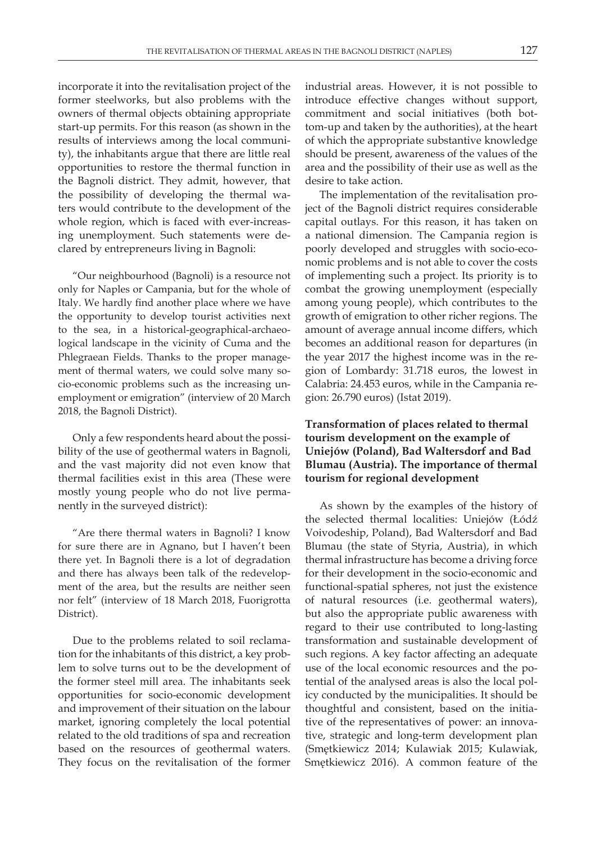incorporate it into the revitalisation project of the former steelworks, but also problems with the owners of thermal objects obtaining appropriate start-up permits. For this reason (as shown in the results of interviews among the local community), the inhabitants argue that there are little real opportunities to restore the thermal function in the Bagnoli district. They admit, however, that the possibility of developing the thermal waters would contribute to the development of the whole region, which is faced with ever-increasing unemployment. Such statements were declared by entrepreneurs living in Bagnoli:

"Our neighbourhood (Bagnoli) is a resource not only for Naples or Campania, but for the whole of Italy. We hardly find another place where we have the opportunity to develop tourist activities next to the sea, in a historical-geographical-archaeological landscape in the vicinity of Cuma and the Phlegraean Fields. Thanks to the proper management of thermal waters, we could solve many socio-economic problems such as the increasing unemployment or emigration" (interview of 20 March 2018, the Bagnoli District).

Only a few respondents heard about the possibility of the use of geothermal waters in Bagnoli, and the vast majority did not even know that thermal facilities exist in this area (These were mostly young people who do not live permanently in the surveyed district):

"Are there thermal waters in Bagnoli? I know for sure there are in Agnano, but I haven't been there yet. In Bagnoli there is a lot of degradation and there has always been talk of the redevelopment of the area, but the results are neither seen nor felt" (interview of 18 March 2018, Fuorigrotta District).

Due to the problems related to soil reclamation for the inhabitants of this district, a key problem to solve turns out to be the development of the former steel mill area. The inhabitants seek opportunities for socio-economic development and improvement of their situation on the labour market, ignoring completely the local potential related to the old traditions of spa and recreation based on the resources of geothermal waters. They focus on the revitalisation of the former

industrial areas. However, it is not possible to introduce effective changes without support, commitment and social initiatives (both bottom-up and taken by the authorities), at the heart of which the appropriate substantive knowledge should be present, awareness of the values of the area and the possibility of their use as well as the desire to take action.

The implementation of the revitalisation project of the Bagnoli district requires considerable capital outlays. For this reason, it has taken on a national dimension. The Campania region is poorly developed and struggles with socio-economic problems and is not able to cover the costs of implementing such a project. Its priority is to combat the growing unemployment (especially among young people), which contributes to the growth of emigration to other richer regions. The amount of average annual income differs, which becomes an additional reason for departures (in the year 2017 the highest income was in the region of Lombardy: 31.718 euros, the lowest in Calabria: 24.453 euros, while in the Campania region: 26.790 euros) (Istat 2019).

## **Transformation of places related to thermal tourism development on the example of Uniejów (Poland), Bad Waltersdorf and Bad Blumau (Austria). The importance of thermal tourism for regional development**

As shown by the examples of the history of the selected thermal localities: Uniejów (Łódź Voivodeship, Poland), Bad Waltersdorf and Bad Blumau (the state of Styria, Austria), in which thermal infrastructure has become a driving force for their development in the socio-economic and functional-spatial spheres, not just the existence of natural resources (i.e. geothermal waters), but also the appropriate public awareness with regard to their use contributed to long-lasting transformation and sustainable development of such regions. A key factor affecting an adequate use of the local economic resources and the potential of the analysed areas is also the local policy conducted by the municipalities. It should be thoughtful and consistent, based on the initiative of the representatives of power: an innovative, strategic and long-term development plan (Smętkiewicz 2014; Kulawiak 2015; Kulawiak, Smętkiewicz 2016). A common feature of the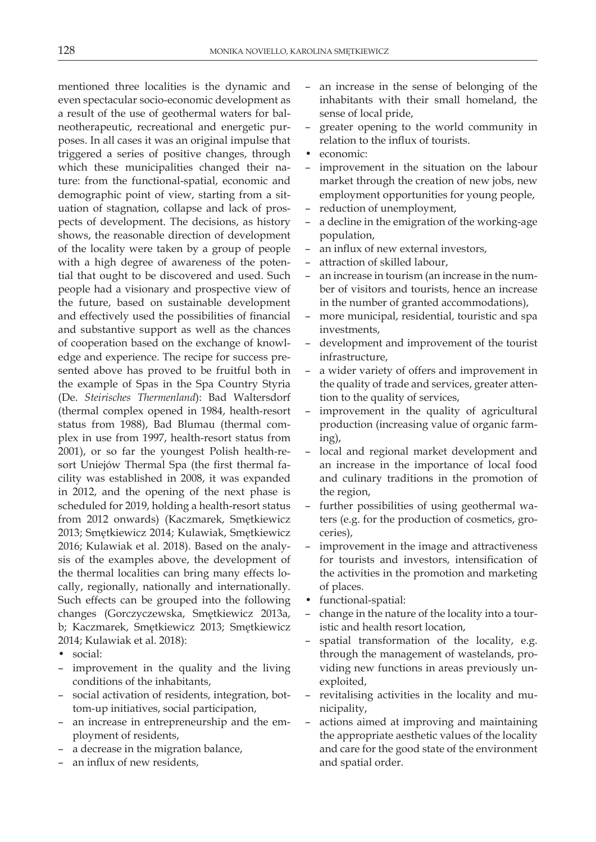mentioned three localities is the dynamic and even spectacular socio-economic development as a result of the use of geothermal waters for balneotherapeutic, recreational and energetic purposes. In all cases it was an original impulse that triggered a series of positive changes, through which these municipalities changed their nature: from the functional-spatial, economic and demographic point of view, starting from a situation of stagnation, collapse and lack of prospects of development. The decisions, as history shows, the reasonable direction of development of the locality were taken by a group of people with a high degree of awareness of the potential that ought to be discovered and used. Such people had a visionary and prospective view of the future, based on sustainable development and effectively used the possibilities of financial and substantive support as well as the chances of cooperation based on the exchange of knowledge and experience. The recipe for success presented above has proved to be fruitful both in the example of Spas in the Spa Country Styria (De. *Steirisches Thermenland*): Bad Waltersdorf (thermal complex opened in 1984, health-resort status from 1988), Bad Blumau (thermal complex in use from 1997, health-resort status from 2001), or so far the youngest Polish health-resort Uniejów Thermal Spa (the first thermal facility was established in 2008, it was expanded in 2012, and the opening of the next phase is scheduled for 2019, holding a health-resort status from 2012 onwards) (Kaczmarek, Smętkiewicz 2013; Smętkiewicz 2014; Kulawiak, Smętkiewicz 2016; Kulawiak et al. 2018). Based on the analysis of the examples above, the development of the thermal localities can bring many effects locally, regionally, nationally and internationally. Such effects can be grouped into the following changes (Gorczyczewska, Smętkiewicz 2013a, b; Kaczmarek, Smętkiewicz 2013; Smętkiewicz 2014; Kulawiak et al. 2018):

- social:
- improvement in the quality and the living conditions of the inhabitants,
- social activation of residents, integration, bottom-up initiatives, social participation,
- an increase in entrepreneurship and the employment of residents,
- a decrease in the migration balance,
- an influx of new residents,
- an increase in the sense of belonging of the inhabitants with their small homeland, the sense of local pride,
- greater opening to the world community in relation to the influx of tourists.
- economic:
- improvement in the situation on the labour market through the creation of new jobs, new employment opportunities for young people,
- reduction of unemployment,
- a decline in the emigration of the working-age population,
- an influx of new external investors,
- attraction of skilled labour,
- an increase in tourism (an increase in the number of visitors and tourists, hence an increase in the number of granted accommodations),
- more municipal, residential, touristic and spa investments,
- development and improvement of the tourist infrastructure,
- a wider variety of offers and improvement in the quality of trade and services, greater attention to the quality of services,
- improvement in the quality of agricultural production (increasing value of organic farming),
- local and regional market development and an increase in the importance of local food and culinary traditions in the promotion of the region,
- further possibilities of using geothermal waters (e.g. for the production of cosmetics, groceries),
- improvement in the image and attractiveness for tourists and investors, intensification of the activities in the promotion and marketing of places.
- functional-spatial:
- change in the nature of the locality into a touristic and health resort location,
- spatial transformation of the locality, e.g. through the management of wastelands, providing new functions in areas previously unexploited,
- revitalising activities in the locality and municipality,
- actions aimed at improving and maintaining the appropriate aesthetic values of the locality and care for the good state of the environment and spatial order.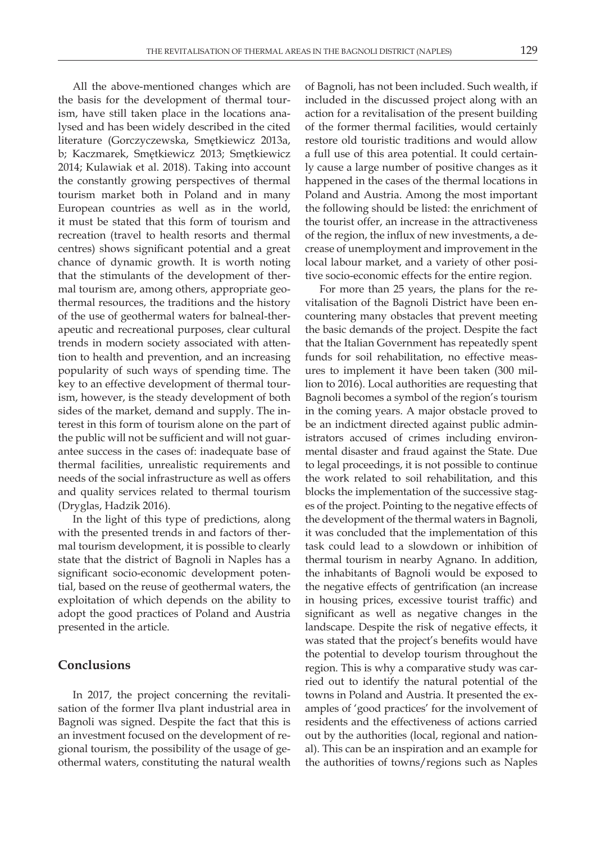All the above-mentioned changes which are the basis for the development of thermal tourism, have still taken place in the locations analysed and has been widely described in the cited literature (Gorczyczewska, Smętkiewicz 2013a, b; Kaczmarek, Smętkiewicz 2013; Smętkiewicz 2014; Kulawiak et al. 2018). Taking into account the constantly growing perspectives of thermal tourism market both in Poland and in many European countries as well as in the world, it must be stated that this form of tourism and recreation (travel to health resorts and thermal centres) shows significant potential and a great chance of dynamic growth. It is worth noting that the stimulants of the development of thermal tourism are, among others, appropriate geothermal resources, the traditions and the history of the use of geothermal waters for balneal-therapeutic and recreational purposes, clear cultural trends in modern society associated with attention to health and prevention, and an increasing popularity of such ways of spending time. The key to an effective development of thermal tourism, however, is the steady development of both sides of the market, demand and supply. The interest in this form of tourism alone on the part of the public will not be sufficient and will not guarantee success in the cases of: inadequate base of thermal facilities, unrealistic requirements and needs of the social infrastructure as well as offers and quality services related to thermal tourism (Dryglas, Hadzik 2016).

In the light of this type of predictions, along with the presented trends in and factors of thermal tourism development, it is possible to clearly state that the district of Bagnoli in Naples has a significant socio-economic development potential, based on the reuse of geothermal waters, the exploitation of which depends on the ability to adopt the good practices of Poland and Austria presented in the article.

#### **Conclusions**

In 2017, the project concerning the revitalisation of the former Ilva plant industrial area in Bagnoli was signed. Despite the fact that this is an investment focused on the development of regional tourism, the possibility of the usage of geothermal waters, constituting the natural wealth of Bagnoli, has not been included. Such wealth, if included in the discussed project along with an action for a revitalisation of the present building of the former thermal facilities, would certainly restore old touristic traditions and would allow a full use of this area potential. It could certainly cause a large number of positive changes as it happened in the cases of the thermal locations in Poland and Austria. Among the most important the following should be listed: the enrichment of the tourist offer, an increase in the attractiveness of the region, the influx of new investments, a decrease of unemployment and improvement in the local labour market, and a variety of other positive socio-economic effects for the entire region.

For more than 25 years, the plans for the revitalisation of the Bagnoli District have been encountering many obstacles that prevent meeting the basic demands of the project. Despite the fact that the Italian Government has repeatedly spent funds for soil rehabilitation, no effective measures to implement it have been taken (300 million to 2016). Local authorities are requesting that Bagnoli becomes a symbol of the region's tourism in the coming years. A major obstacle proved to be an indictment directed against public administrators accused of crimes including environmental disaster and fraud against the State. Due to legal proceedings, it is not possible to continue the work related to soil rehabilitation, and this blocks the implementation of the successive stages of the project. Pointing to the negative effects of the development of the thermal waters in Bagnoli, it was concluded that the implementation of this task could lead to a slowdown or inhibition of thermal tourism in nearby Agnano. In addition, the inhabitants of Bagnoli would be exposed to the negative effects of gentrification (an increase in housing prices, excessive tourist traffic) and significant as well as negative changes in the landscape. Despite the risk of negative effects, it was stated that the project's benefits would have the potential to develop tourism throughout the region. This is why a comparative study was carried out to identify the natural potential of the towns in Poland and Austria. It presented the examples of 'good practices' for the involvement of residents and the effectiveness of actions carried out by the authorities (local, regional and national). This can be an inspiration and an example for the authorities of towns/regions such as Naples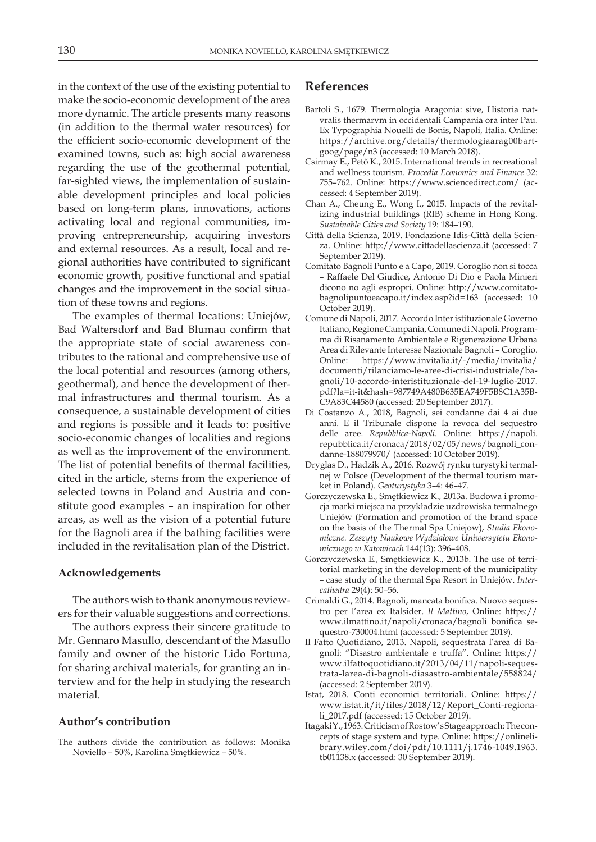in the context of the use of the existing potential to make the socio-economic development of the area more dynamic. The article presents many reasons (in addition to the thermal water resources) for the efficient socio-economic development of the examined towns, such as: high social awareness regarding the use of the geothermal potential, far-sighted views, the implementation of sustainable development principles and local policies based on long-term plans, innovations, actions activating local and regional communities, improving entrepreneurship, acquiring investors and external resources. As a result, local and regional authorities have contributed to significant economic growth, positive functional and spatial changes and the improvement in the social situation of these towns and regions.

The examples of thermal locations: Uniejów, Bad Waltersdorf and Bad Blumau confirm that the appropriate state of social awareness contributes to the rational and comprehensive use of the local potential and resources (among others, geothermal), and hence the development of thermal infrastructures and thermal tourism. As a consequence, a sustainable development of cities and regions is possible and it leads to: positive socio-economic changes of localities and regions as well as the improvement of the environment. The list of potential benefits of thermal facilities, cited in the article, stems from the experience of selected towns in Poland and Austria and constitute good examples – an inspiration for other areas, as well as the vision of a potential future for the Bagnoli area if the bathing facilities were included in the revitalisation plan of the District.

#### **Acknowledgements**

The authors wish to thank anonymous reviewers for their valuable suggestions and corrections.

The authors express their sincere gratitude to Mr. Gennaro Masullo, descendant of the Masullo family and owner of the historic Lido Fortuna, for sharing archival materials, for granting an interview and for the help in studying the research material.

#### **Author's contribution**

The authors divide the contribution as follows: Monika Noviello – 50%, Karolina Smętkiewicz – 50%.

## **References**

- Bartoli S., 1679. Thermologia Aragonia: sive, Historia natvralis thermarvm in occidentali Campania ora inter Pau. Ex Typographia Nouelli de Bonis, Napoli, Italia. Online: https://archive.org/details/thermologiaarag00bartgoog/page/n3 (accessed: 10 March 2018).
- Csirmay E., Pető K., 2015. International trends in recreational and wellness tourism. *Procedia Economics and Finance* 32: 755–762. Online: https://www.sciencedirect.com/ (accessed: 4 September 2019).
- Chan A., Cheung E., Wong I., 2015. Impacts of the revitalizing industrial buildings (RIB) scheme in Hong Kong. *Sustainable Cities and Society* 19: 184–190.
- Città della Scienza, 2019. Fondazione Idis-Città della Scienza. Online: http://www.cittadellascienza.it (accessed: 7 September 2019).
- Comitato Bagnoli Punto e a Capo, 2019. Coroglio non si tocca – Raffaele Del Giudice, Antonio Di Dio e Paola Minieri dicono no agli espropri. Online: http://www.comitatobagnolipuntoeacapo.it/index.asp?id=163 (accessed: 10 October 2019).
- Comune di Napoli, 2017. Accordo Inter istituzionale Governo Italiano, Regione Campania, Comune di Napoli. Programma di Risanamento Ambientale e Rigenerazione Urbana Area di Rilevante Interesse Nazionale Bagnoli – Coroglio. Online: https://www.invitalia.it/-/media/invitalia/ documenti/rilanciamo-le-aree-di-crisi-industriale/bagnoli/10-accordo-interistituzionale-del-19-luglio-2017. pdf?la=it-it&hash=987749A480B635EA749F5B8C1A35B-C9A83C44580 (accessed: 20 September 2017).
- Di Costanzo A., 2018, Bagnoli, sei condanne dai 4 ai due anni. E il Tribunale dispone la revoca del sequestro delle aree. *Repubblica-Napoli*. Online: https://napoli. repubblica.it/cronaca/2018/02/05/news/bagnoli\_condanne-188079970/ (accessed: 10 October 2019).
- Dryglas D., Hadzik A., 2016. Rozwój rynku turystyki termalnej w Polsce (Development of the thermal tourism market in Poland). *Geoturystyka* 3–4: 46–47.
- Gorczyczewska E., Smętkiewicz K., 2013a. Budowa i promocja marki miejsca na przykładzie uzdrowiska termalnego Uniejów (Formation and promotion of the brand space on the basis of the Thermal Spa Uniejow), *Studia Ekonomiczne. Zeszyty Naukowe Wydziałowe Uniwersytetu Ekonomicznego w Katowicach* 144(13): 396–408.
- Gorczyczewska E., Smętkiewicz K., 2013b. The use of territorial marketing in the development of the municipality – case study of the thermal Spa Resort in Uniejów. *Intercathedra* 29(4): 50–56.
- Crimaldi G., 2014. Bagnoli, mancata bonifica. Nuovo sequestro per l'area ex Italsider. *Il Mattino*, Online: https:// www.ilmattino.it/napoli/cronaca/bagnoli\_bonifica\_sequestro-730004.html (accessed: 5 September 2019).
- Il Fatto Quotidiano, 2013. Napoli, sequestrata l'area di Bagnoli: "Disastro ambientale e truffa". Online: https:// www.ilfattoquotidiano.it/2013/04/11/napoli-sequestrata-larea-di-bagnoli-diasastro-ambientale/558824/ (accessed: 2 September 2019).
- Istat, 2018. Conti economici territoriali. Online: https:// www.istat.it/it/files/2018/12/Report\_Conti-regionali\_2017.pdf (accessed: 15 October 2019).
- Itagaki Y., 1963. Criticism of Rostow's Stage approach: The concepts of stage system and type. Online: https://onlinelibrary.wiley.com/doi/pdf/10.1111/j.1746-1049.1963. tb01138.x (accessed: 30 September 2019).